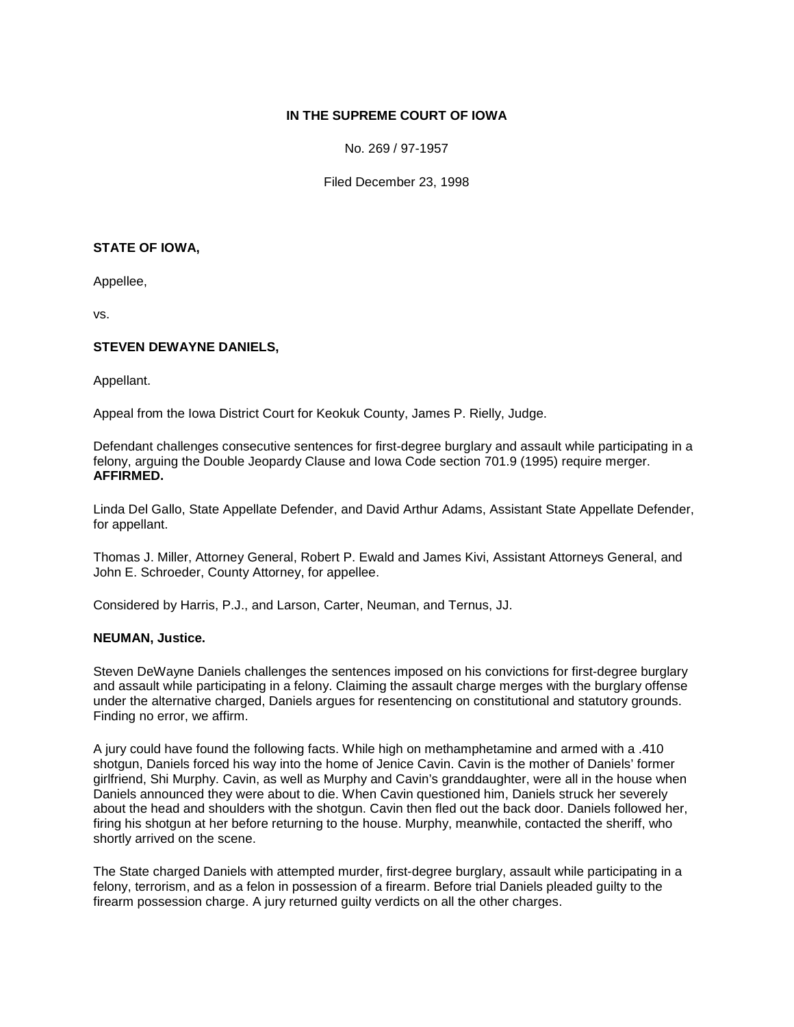### **IN THE SUPREME COURT OF IOWA**

No. 269 / 97-1957

Filed December 23, 1998

### **STATE OF IOWA,**

Appellee,

vs.

# **STEVEN DEWAYNE DANIELS,**

Appellant.

Appeal from the Iowa District Court for Keokuk County, James P. Rielly, Judge.

Defendant challenges consecutive sentences for first-degree burglary and assault while participating in a felony, arguing the Double Jeopardy Clause and Iowa Code section 701.9 (1995) require merger. **AFFIRMED.**

Linda Del Gallo, State Appellate Defender, and David Arthur Adams, Assistant State Appellate Defender, for appellant.

Thomas J. Miller, Attorney General, Robert P. Ewald and James Kivi, Assistant Attorneys General, and John E. Schroeder, County Attorney, for appellee.

Considered by Harris, P.J., and Larson, Carter, Neuman, and Ternus, JJ.

### **NEUMAN, Justice.**

Steven DeWayne Daniels challenges the sentences imposed on his convictions for first-degree burglary and assault while participating in a felony. Claiming the assault charge merges with the burglary offense under the alternative charged, Daniels argues for resentencing on constitutional and statutory grounds. Finding no error, we affirm.

A jury could have found the following facts. While high on methamphetamine and armed with a .410 shotgun, Daniels forced his way into the home of Jenice Cavin. Cavin is the mother of Daniels' former girlfriend, Shi Murphy. Cavin, as well as Murphy and Cavin's granddaughter, were all in the house when Daniels announced they were about to die. When Cavin questioned him, Daniels struck her severely about the head and shoulders with the shotgun. Cavin then fled out the back door. Daniels followed her, firing his shotgun at her before returning to the house. Murphy, meanwhile, contacted the sheriff, who shortly arrived on the scene.

The State charged Daniels with attempted murder, first-degree burglary, assault while participating in a felony, terrorism, and as a felon in possession of a firearm. Before trial Daniels pleaded guilty to the firearm possession charge. A jury returned guilty verdicts on all the other charges.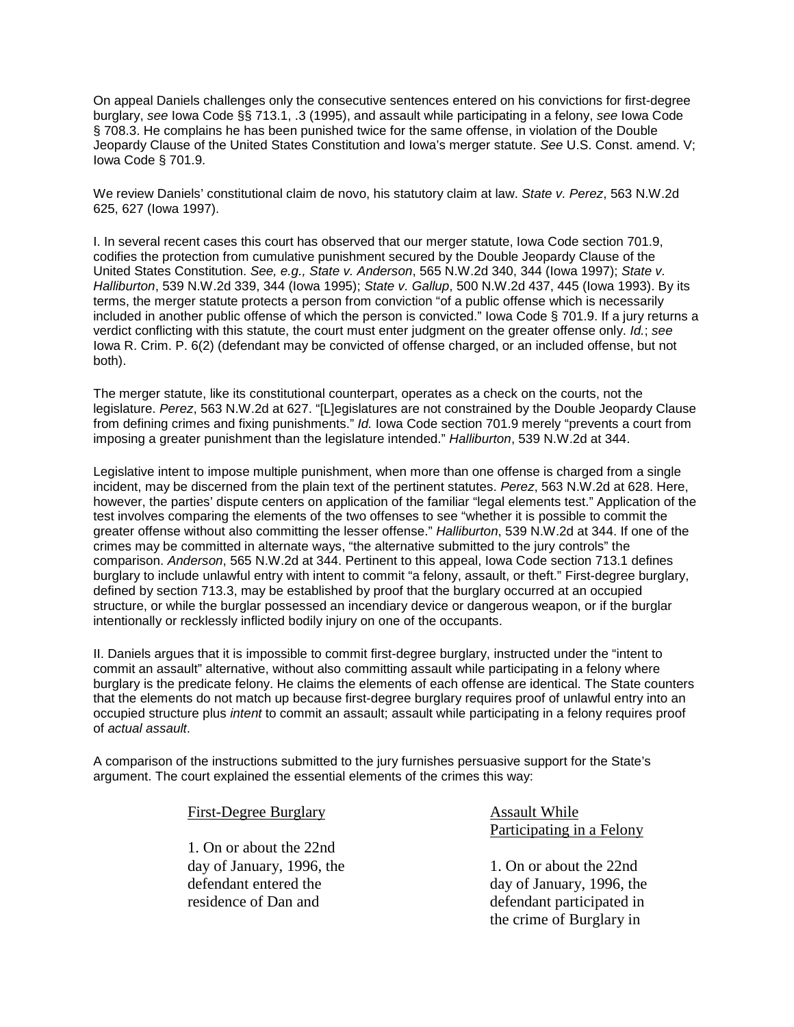On appeal Daniels challenges only the consecutive sentences entered on his convictions for first-degree burglary, *see* Iowa Code §§ 713.1, .3 (1995), and assault while participating in a felony, *see* Iowa Code § 708.3. He complains he has been punished twice for the same offense, in violation of the Double Jeopardy Clause of the United States Constitution and Iowa's merger statute. *See* U.S. Const. amend. V; Iowa Code § 701.9.

We review Daniels' constitutional claim de novo, his statutory claim at law. *State v. Perez*, 563 N.W.2d 625, 627 (Iowa 1997).

I. In several recent cases this court has observed that our merger statute, Iowa Code section 701.9, codifies the protection from cumulative punishment secured by the Double Jeopardy Clause of the United States Constitution. *See, e.g., State v. Anderson*, 565 N.W.2d 340, 344 (Iowa 1997); *State v. Halliburton*, 539 N.W.2d 339, 344 (Iowa 1995); *State v. Gallup*, 500 N.W.2d 437, 445 (Iowa 1993). By its terms, the merger statute protects a person from conviction "of a public offense which is necessarily included in another public offense of which the person is convicted." Iowa Code § 701.9. If a jury returns a verdict conflicting with this statute, the court must enter judgment on the greater offense only. *Id.*; *see*  Iowa R. Crim. P. 6(2) (defendant may be convicted of offense charged, or an included offense, but not both).

The merger statute, like its constitutional counterpart, operates as a check on the courts, not the legislature. *Perez*, 563 N.W.2d at 627. "[L]egislatures are not constrained by the Double Jeopardy Clause from defining crimes and fixing punishments." *Id.* Iowa Code section 701.9 merely "prevents a court from imposing a greater punishment than the legislature intended." *Halliburton*, 539 N.W.2d at 344.

Legislative intent to impose multiple punishment, when more than one offense is charged from a single incident, may be discerned from the plain text of the pertinent statutes. *Perez*, 563 N.W.2d at 628. Here, however, the parties' dispute centers on application of the familiar "legal elements test." Application of the test involves comparing the elements of the two offenses to see "whether it is possible to commit the greater offense without also committing the lesser offense." *Halliburton*, 539 N.W.2d at 344. If one of the crimes may be committed in alternate ways, "the alternative submitted to the jury controls" the comparison. *Anderson*, 565 N.W.2d at 344. Pertinent to this appeal, Iowa Code section 713.1 defines burglary to include unlawful entry with intent to commit "a felony, assault, or theft." First-degree burglary, defined by section 713.3, may be established by proof that the burglary occurred at an occupied structure, or while the burglar possessed an incendiary device or dangerous weapon, or if the burglar intentionally or recklessly inflicted bodily injury on one of the occupants.

II. Daniels argues that it is impossible to commit first-degree burglary, instructed under the "intent to commit an assault" alternative, without also committing assault while participating in a felony where burglary is the predicate felony. He claims the elements of each offense are identical. The State counters that the elements do not match up because first-degree burglary requires proof of unlawful entry into an occupied structure plus *intent* to commit an assault; assault while participating in a felony requires proof of *actual assault*.

A comparison of the instructions submitted to the jury furnishes persuasive support for the State's argument. The court explained the essential elements of the crimes this way:

> 1. On or about the 22nd day of January, 1996, the defendant entered the residence of Dan and

First-Degree Burglary

Assault While Participating in a Felony

1. On or about the 22nd day of January, 1996, the defendant participated in the crime of Burglary in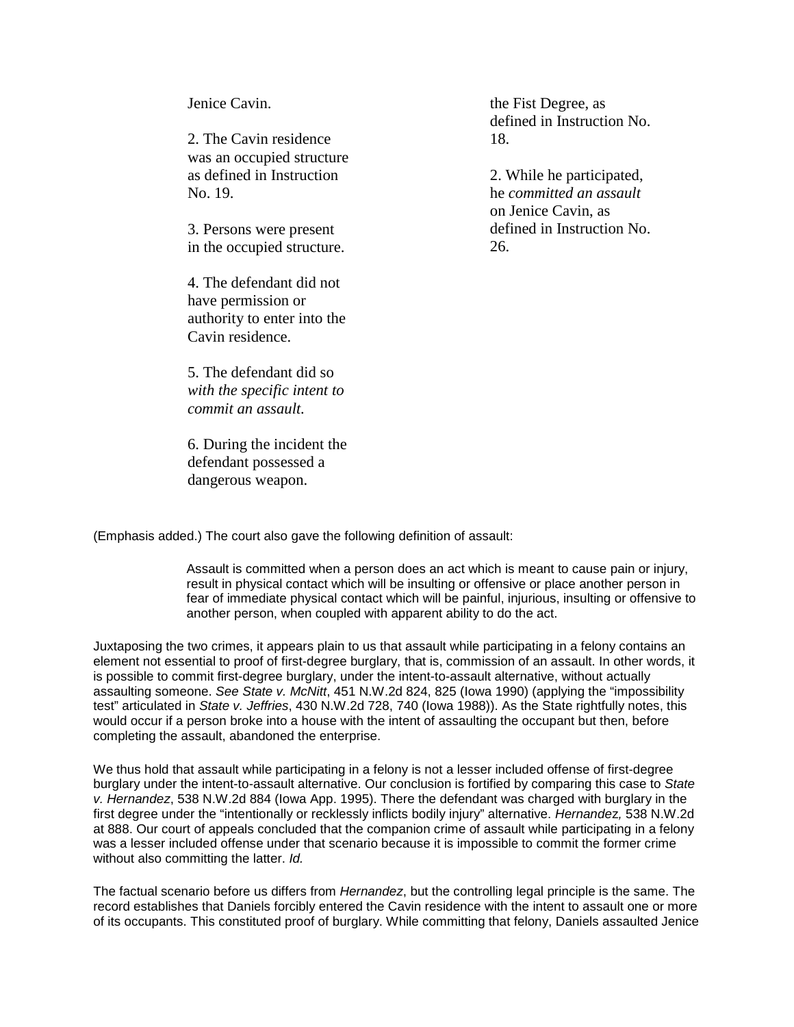Jenice Cavin.

2. The Cavin residence was an occupied structure as defined in Instruction No. 19.

3. Persons were present in the occupied structure.

4. The defendant did not have permission or authority to enter into the Cavin residence.

5. The defendant did so *with the specific intent to commit an assault.*

6. During the incident the defendant possessed a dangerous weapon.

the Fist Degree, as defined in Instruction No. 18.

2. While he participated, he *committed an assault* on Jenice Cavin, as defined in Instruction No. 26.

(Emphasis added.) The court also gave the following definition of assault:

Assault is committed when a person does an act which is meant to cause pain or injury, result in physical contact which will be insulting or offensive or place another person in fear of immediate physical contact which will be painful, injurious, insulting or offensive to another person, when coupled with apparent ability to do the act.

Juxtaposing the two crimes, it appears plain to us that assault while participating in a felony contains an element not essential to proof of first-degree burglary, that is, commission of an assault. In other words, it is possible to commit first-degree burglary, under the intent-to-assault alternative, without actually assaulting someone. *See State v. McNitt*, 451 N.W.2d 824, 825 (Iowa 1990) (applying the "impossibility test" articulated in *State v. Jeffries*, 430 N.W.2d 728, 740 (Iowa 1988)). As the State rightfully notes, this would occur if a person broke into a house with the intent of assaulting the occupant but then, before completing the assault, abandoned the enterprise.

We thus hold that assault while participating in a felony is not a lesser included offense of first-degree burglary under the intent-to-assault alternative. Our conclusion is fortified by comparing this case to *State v. Hernandez*, 538 N.W.2d 884 (Iowa App. 1995). There the defendant was charged with burglary in the first degree under the "intentionally or recklessly inflicts bodily injury" alternative. *Hernande*z*,* 538 N.W.2d at 888. Our court of appeals concluded that the companion crime of assault while participating in a felony was a lesser included offense under that scenario because it is impossible to commit the former crime without also committing the latter. *Id.*

The factual scenario before us differs from *Hernandez*, but the controlling legal principle is the same. The record establishes that Daniels forcibly entered the Cavin residence with the intent to assault one or more of its occupants. This constituted proof of burglary. While committing that felony, Daniels assaulted Jenice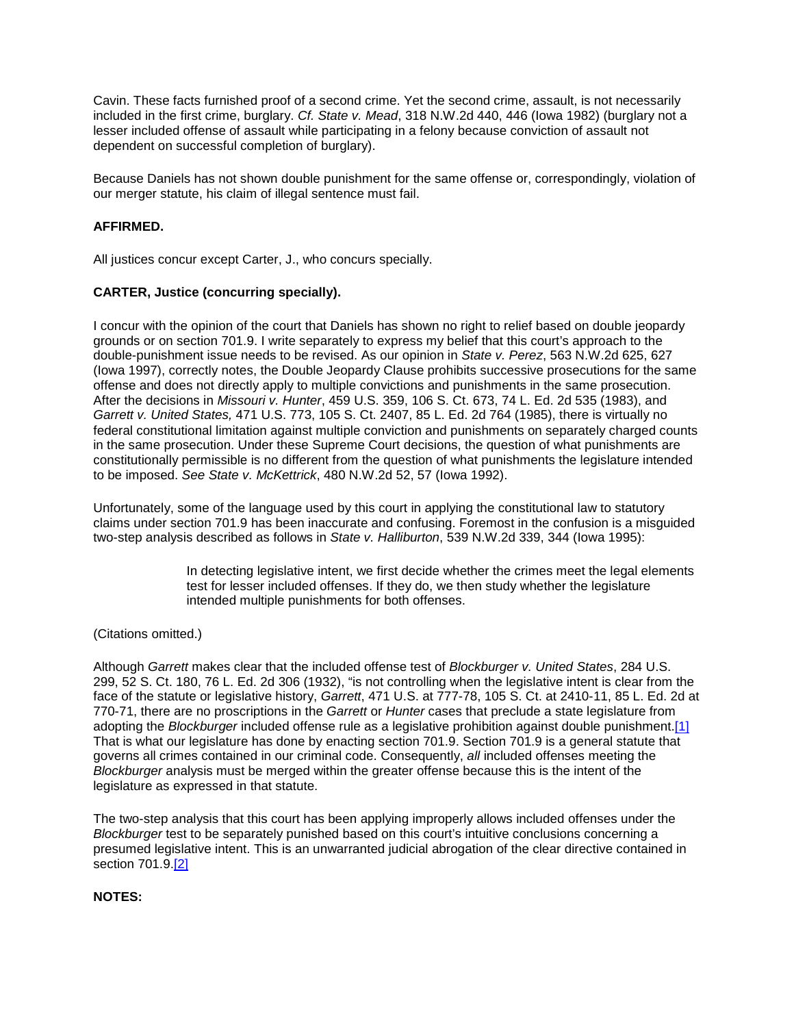Cavin. These facts furnished proof of a second crime. Yet the second crime, assault, is not necessarily included in the first crime, burglary. *Cf. State v. Mead*, 318 N.W.2d 440, 446 (Iowa 1982) (burglary not a lesser included offense of assault while participating in a felony because conviction of assault not dependent on successful completion of burglary).

Because Daniels has not shown double punishment for the same offense or, correspondingly, violation of our merger statute, his claim of illegal sentence must fail.

# **AFFIRMED.**

All justices concur except Carter, J., who concurs specially.

# **CARTER, Justice (concurring specially).**

I concur with the opinion of the court that Daniels has shown no right to relief based on double jeopardy grounds or on section 701.9. I write separately to express my belief that this court's approach to the double-punishment issue needs to be revised. As our opinion in *State v. Perez*, 563 N.W.2d 625, 627 (Iowa 1997), correctly notes, the Double Jeopardy Clause prohibits successive prosecutions for the same offense and does not directly apply to multiple convictions and punishments in the same prosecution. After the decisions in *Missouri v. Hunter*, 459 U.S. 359, 106 S. Ct. 673, 74 L. Ed. 2d 535 (1983), and *Garrett v. United States,* 471 U.S. 773, 105 S. Ct. 2407, 85 L. Ed. 2d 764 (1985), there is virtually no federal constitutional limitation against multiple conviction and punishments on separately charged counts in the same prosecution. Under these Supreme Court decisions, the question of what punishments are constitutionally permissible is no different from the question of what punishments the legislature intended to be imposed. *See State v. McKettrick*, 480 N.W.2d 52, 57 (Iowa 1992).

Unfortunately, some of the language used by this court in applying the constitutional law to statutory claims under section 701.9 has been inaccurate and confusing. Foremost in the confusion is a misguided two-step analysis described as follows in *State v. Halliburton*, 539 N.W.2d 339, 344 (Iowa 1995):

> In detecting legislative intent, we first decide whether the crimes meet the legal elements test for lesser included offenses. If they do, we then study whether the legislature intended multiple punishments for both offenses.

### (Citations omitted.)

Although *Garrett* makes clear that the included offense test of *Blockburger v. United States*, 284 U.S. 299, 52 S. Ct. 180, 76 L. Ed. 2d 306 (1932), "is not controlling when the legislative intent is clear from the face of the statute or legislative history, *Garrett*, 471 U.S. at 777-78, 105 S. Ct. at 2410-11, 85 L. Ed. 2d at 770-71, there are no proscriptions in the *Garrett* or *Hunter* cases that preclude a state legislature from adopting the *Blockburger* included offense rule as a legislative prohibition against double punishment[.\[1\]](http://www.iowacourts.gov/About_the_Courts/Supreme_Court/Supreme_Court_Opinions/Recent_Opinions/19981223/97-1957.asp?Printable=true#fn1) That is what our legislature has done by enacting section 701.9. Section 701.9 is a general statute that governs all crimes contained in our criminal code. Consequently, *all* included offenses meeting the *Blockburger* analysis must be merged within the greater offense because this is the intent of the legislature as expressed in that statute.

The two-step analysis that this court has been applying improperly allows included offenses under the *Blockburger* test to be separately punished based on this court's intuitive conclusions concerning a presumed legislative intent. This is an unwarranted judicial abrogation of the clear directive contained in section 701.9[.\[2\]](http://www.iowacourts.gov/About_the_Courts/Supreme_Court/Supreme_Court_Opinions/Recent_Opinions/19981223/97-1957.asp?Printable=true#fn2)

### **NOTES:**